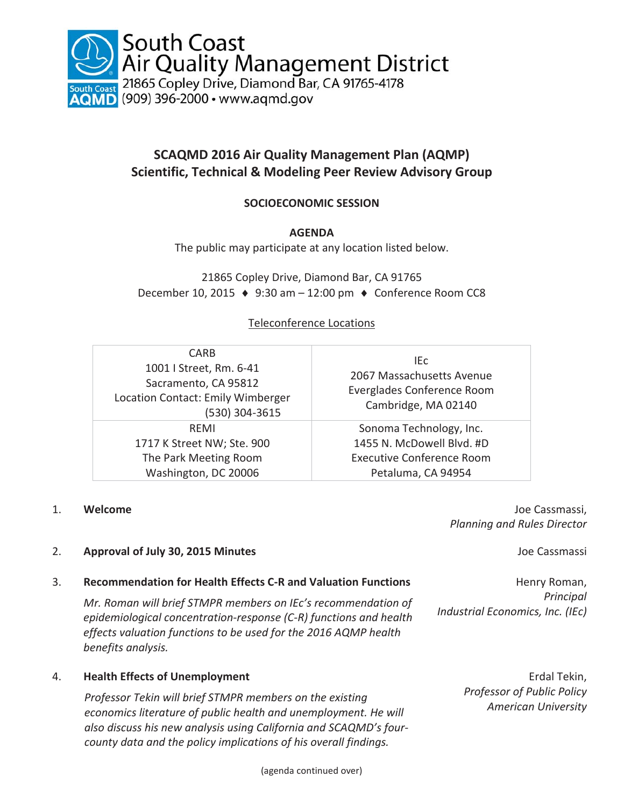

# **SCAQMD 2016 Air Quality Management Plan (AQMP) Scientific, Technical & Modeling Peer Review Advisory Group**

# **SOCIOECONOMIC SESSION**

# **AGENDA**

The public may participate at any location listed below.

21865 Copley Drive, Diamond Bar, CA 91765 December 10, 2015  $\leftrightarrow$  9:30 am – 12:00 pm  $\leftrightarrow$  Conference Room CC8

## Teleconference Locations

| <b>CARB</b><br>1001   Street, Rm. 6-41<br>Sacramento, CA 95812<br>Location Contact: Emily Wimberger<br>(530) 304-3615 | IEc.<br>2067 Massachusetts Avenue<br>Everglades Conference Room<br>Cambridge, MA 02140 |
|-----------------------------------------------------------------------------------------------------------------------|----------------------------------------------------------------------------------------|
| RFMI                                                                                                                  | Sonoma Technology, Inc.                                                                |
| 1717 K Street NW; Ste. 900                                                                                            | 1455 N. McDowell Blvd. #D                                                              |
| The Park Meeting Room                                                                                                 | <b>Executive Conference Room</b>                                                       |
| Washington, DC 20006                                                                                                  | Petaluma, CA 94954                                                                     |

1. **Welcome** Joe Cassmassi, *Planning and Rules Director* 

*Industrial Economics, Inc. (IEc)*

Henry Roman, *Principal* 

# 2. **Approval of July 30, 2015 Minutes** Joe Cassmassi

#### 3. **Recommendation for Health Effects C-R and Valuation Functions**

*Mr. Roman will brief STMPR members on IEc's recommendation of epidemiological concentration-response (C-R) functions and health effects valuation functions to be used for the 2016 AQMP health benefits analysis.* 

# 4. **Health Effects of Unemployment**

*Professor Tekin will brief STMPR members on the existing economics literature of public health and unemployment. He will also discuss his new analysis using California and SCAQMD's fourcounty data and the policy implications of his overall findings.* 

Erdal Tekin, *Professor of Public Policy American University*

(agenda continued over)